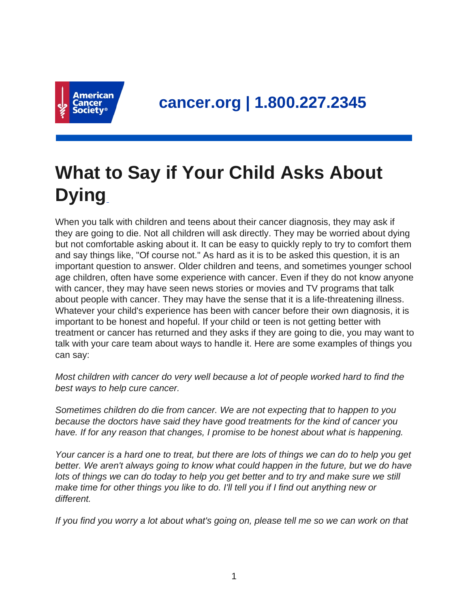

## **What to Say if Your Child Asks About Dying**

When you talk with children and teens about their cancer diagnosis, they may ask if they are going to die. Not all children will ask directly. They may be worried about dying but not comfortable asking about it. It can be easy to quickly reply to try to comfort them and say things like, "Of course not." As hard as it is to be asked this question, it is an important question to answer. Older children and teens, and sometimes younger school age children, often have some experience with cancer. Even if they do not know anyone with cancer, they may have seen news stories or movies and TV programs that talk about people with cancer. They may have the sense that it is a life-threatening illness. Whatever your child's experience has been with cancer before their own diagnosis, it is important to be honest and hopeful. If your child or teen is not getting better with treatment or cancer has returned and they asks if they are going to die, you may want to talk with your care team about ways to handle it. Here are some examples of things you can say:

Most children with cancer do very well because a lot of people worked hard to find the best ways to help cure cancer.

Sometimes children do die from cancer. We are not expecting that to happen to you because the doctors have said they have good treatments for the kind of cancer you have. If for any reason that changes, I promise to be honest about what is happening.

Your cancer is a hard one to treat, but there are lots of things we can do to help you get better. We aren't always going to know what could happen in the future, but we do have lots of things we can do today to help you get better and to try and make sure we still make time for other things you like to do. I'll tell you if I find out anything new or different.

If you find you worry a lot about what's going on, please tell me so we can work on that